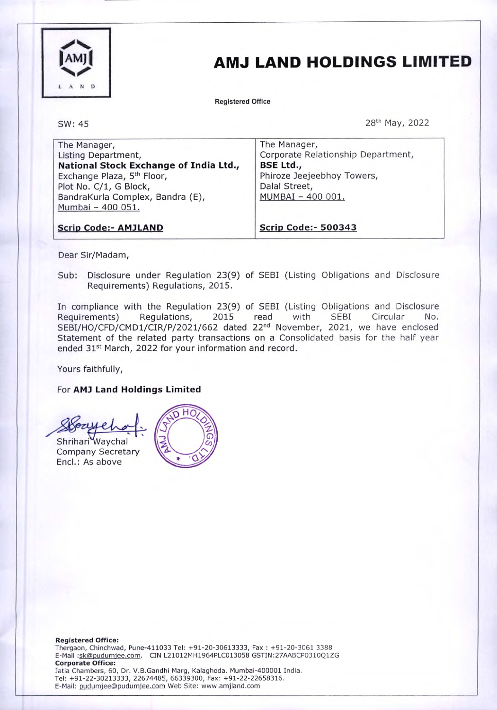

# AMJ LAND HOLDINGS LIMITED

Registered Office

SW: 45

28th May, 2022

| The Manager,                           | The Manager,                       |
|----------------------------------------|------------------------------------|
| Listing Department,                    | Corporate Relationship Department, |
| National Stock Exchange of India Ltd., | <b>BSE Ltd.,</b>                   |
| Exchange Plaza, 5 <sup>th</sup> Floor, | Phiroze Jeejeebhoy Towers,         |
| Plot No. C/1, G Block,                 | Dalal Street,                      |
| BandraKurla Complex, Bandra (E),       | MUMBAI - 400 001.                  |
| Mumbai - 400 051.                      |                                    |
|                                        |                                    |
| <b>Scrip Code:- AMJLAND</b>            | <b>Scrip Code:- 500343</b>         |

Dear Sir/Madam,

Sub: Disclosure under Regulation 23(9) of SEBI (Listing Obligations and Disclosure Requirements) Regulations, 2015.

In compliance with the Regulation 23(9) of SEBI (Listing Obligations and Disclosure Requirements) Regulations, 2015 read with SEBI Circular No. SEBI/HO/CFD/CMD1/CIR/P/2021/662 dated 22<sup>nd</sup> November, 2021, we have enclosed Statement of the related party transactions on a Consolidated basis for the half year ended 31<sup>st</sup> March, 2022 for your information and record.

Yours faithfully,

### For AM) Land Holdings Limited

HO Shrihari Waychal Company Secretary Encl.: As above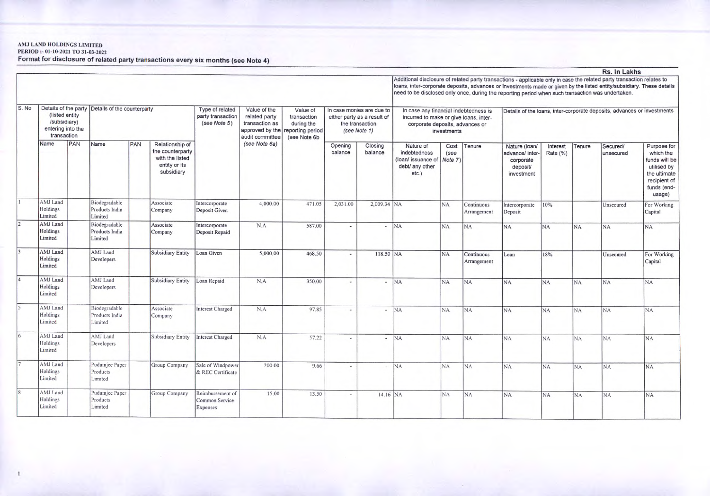## AMJ LAND HOLDINGS LIMITED PERIOD:- 01-10-2021 TO 31-03-2022

Format for disclosure of related party transactions every six months (see Note 4)

|       |                                                                     |     |                                                  |     |                                                                                       |                                                      |                                                                                       |                                                                            |                                                                                             |                          |                                                                                                                                                                                                                                                                                                                                                      |                         |                           |                                                                         |                      |           | Rs. In Lakhs          |                                                                                                                   |  |
|-------|---------------------------------------------------------------------|-----|--------------------------------------------------|-----|---------------------------------------------------------------------------------------|------------------------------------------------------|---------------------------------------------------------------------------------------|----------------------------------------------------------------------------|---------------------------------------------------------------------------------------------|--------------------------|------------------------------------------------------------------------------------------------------------------------------------------------------------------------------------------------------------------------------------------------------------------------------------------------------------------------------------------------------|-------------------------|---------------------------|-------------------------------------------------------------------------|----------------------|-----------|-----------------------|-------------------------------------------------------------------------------------------------------------------|--|
|       |                                                                     |     |                                                  |     |                                                                                       |                                                      |                                                                                       |                                                                            |                                                                                             |                          | Additional disclosure of related party transactions - applicable only in case the related party transaction relates to<br>loans, inter-corporate deposits, advances or investments made or given by the listed entity/subsidiary. These details<br>need to be disclosed only once, during the reporting period when such transaction was undertaken. |                         |                           |                                                                         |                      |           |                       |                                                                                                                   |  |
| S. No | (listed entity)<br>/subsidiary)<br>entering into the<br>transaction |     | Details of the party Details of the counterparty |     |                                                                                       | Type of related<br>party transaction<br>(see Note 5) | Value of the<br>related party<br>transaction as<br>approved by the<br>audit committee | Value of<br>transaction<br>during the<br>reporting period<br>(see Note 6b) | In case monies are due to<br>either party as a result of<br>the transaction<br>(see Note 1) |                          | In case any financial indebtedness is<br>incurred to make or give loans, inter-<br>corporate deposits, advances or                                                                                                                                                                                                                                   | investments             |                           | Details of the loans, inter-corporate deposits, advances or investments |                      |           |                       |                                                                                                                   |  |
|       | Name                                                                | PAN | Name                                             | PAN | Relationship of<br>the counterparty<br>with the listed<br>entity or its<br>subsidiary |                                                      | (see Note 6a)                                                                         |                                                                            | Opening<br>balance                                                                          | Closing<br>balance       | Nature of<br>indebtedness<br>(loan/ issuance of<br>debt/ any other<br>etc.)                                                                                                                                                                                                                                                                          | Cost<br>(see<br>Note 7) | Tenure                    | Nature (loan/<br>advance/ inter-<br>corporate<br>deposit/<br>investment | Interest<br>Rate (%) | Tenure    | Secured/<br>unsecured | Purpose for<br>which the<br>funds will be<br>utilised by<br>the ultimate<br>recipient of<br>funds (end-<br>usage) |  |
|       | AMJ Land<br>Holdings<br>Limited                                     |     | Biodegradable<br>Products India<br>Limited       |     | Associate<br>Company                                                                  | Intercorporate<br>Deposit Given                      | 4,000.00                                                                              | 471.05                                                                     | 2,031.00                                                                                    | 2,009.34 NA              |                                                                                                                                                                                                                                                                                                                                                      | N <sub>A</sub>          | Continuous<br>Arrangement | Intercorporate<br>Deposit                                               | 10%                  |           | Unsecured             | For Working<br>Capital                                                                                            |  |
|       | AMJ Land<br>Holdings<br>Limited                                     |     | Biodegradable<br>Products India<br>Limited       |     | Associate<br>Company                                                                  | Intercorporate<br>Deposit Repaid                     | N.A                                                                                   | 587.00                                                                     |                                                                                             |                          | <b>NA</b>                                                                                                                                                                                                                                                                                                                                            | <b>NA</b>               | <b>NA</b>                 | <b>NA</b>                                                               | <b>NA</b>            | <b>NA</b> | <b>NA</b>             | <b>NA</b>                                                                                                         |  |
|       | AMJ Land<br>Holdings<br>Limited                                     |     | AMJ Land<br>Developers                           |     | Subsidiary Entity                                                                     | Loan Given                                           | 5,000.00                                                                              | 468.50                                                                     | $\sim$                                                                                      | 118.50 NA                |                                                                                                                                                                                                                                                                                                                                                      | N <sub>A</sub>          | Continuous<br>Arrangement | Loan                                                                    | 18%                  |           | Unsecured             | For Working<br>Capital                                                                                            |  |
|       | AMJ Land<br>Holdings<br>Limited                                     |     | AMJ Land<br>Developers                           |     | Subsidiary Entity                                                                     | Loan Repaid                                          | N.A                                                                                   | 350.00                                                                     | $\sim$                                                                                      |                          | <b>NA</b>                                                                                                                                                                                                                                                                                                                                            | NA.                     | <b>NA</b>                 | <b>NA</b>                                                               | NA                   | <b>NA</b> | <b>NA</b>             | <b>NA</b>                                                                                                         |  |
|       | AMJ Land<br>Holdings<br>Limited                                     |     | Biodegradable<br>Products India<br>Limited       |     | Associate<br>Company                                                                  | <b>Interest Charged</b>                              | N.A                                                                                   | 97.85                                                                      | $\overline{\phantom{a}}$                                                                    | $\overline{\phantom{a}}$ | <b>NA</b>                                                                                                                                                                                                                                                                                                                                            | N <sub>A</sub>          | <b>NA</b>                 | <b>NA</b>                                                               | NA                   | <b>NA</b> | <b>NA</b>             | <b>NA</b>                                                                                                         |  |
|       | AMJ Land<br>Holdings<br>Limited                                     |     | AMJ Land<br>Developers                           |     | Subsidiary Entity                                                                     | <b>Interest Charged</b>                              | N.A                                                                                   | 57.22                                                                      |                                                                                             | ٠                        | NA <sub></sub>                                                                                                                                                                                                                                                                                                                                       | <b>NA</b>               | <b>NA</b>                 | NA <sub></sub>                                                          | <b>NA</b>            | <b>NA</b> | <b>NA</b>             | <b>NA</b>                                                                                                         |  |
|       | AMJ Land<br>Holdings<br>Limited                                     |     | Pudumjee Paper<br>Products<br>Limited            |     | Group Company                                                                         | Sale of Windpower<br>& REC Certificate               | 200.00                                                                                | 9.66                                                                       |                                                                                             |                          | <b>NA</b>                                                                                                                                                                                                                                                                                                                                            | <b>NA</b>               | NA                        | <b>NA</b>                                                               | <b>NA</b>            | <b>NA</b> | <b>NA</b>             | <b>NA</b>                                                                                                         |  |
|       | AMJ Land<br>Holdings<br>Limited                                     |     | Pudumjee Paper<br>Products<br>Limited            |     | Group Company                                                                         | Reimbursement of<br>Common Service<br>Expenses       | 15.00                                                                                 | 13.50                                                                      |                                                                                             | 14.16 NA                 |                                                                                                                                                                                                                                                                                                                                                      | <b>NA</b>               | NA.                       | N <sub>A</sub>                                                          | <b>NA</b>            | <b>NA</b> | <b>NA</b>             | NA.                                                                                                               |  |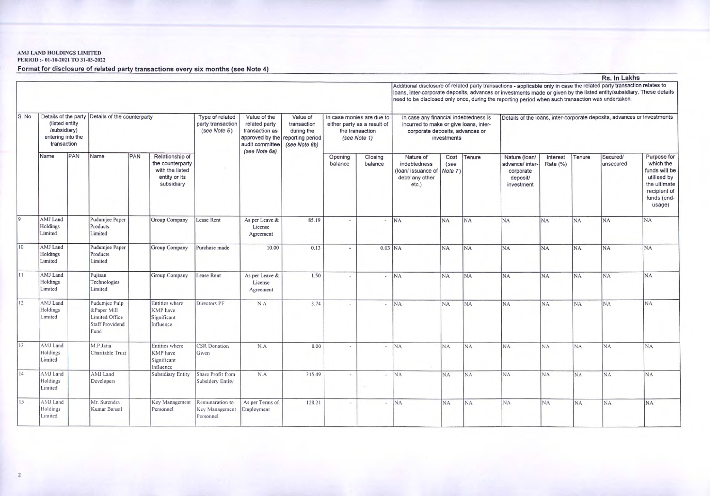### AMJ LAND HOLDINGS LIMITED PERIOD:- 01-10-2021 TO 31-03-2022

Format for disclosure of related party transactions every six months (see Note 4)

|       |                                                                     |     |                                                                                  |     |                                                                                       |                                                      |                                                                                       |                                                                            |                                                                                             |                          |                                                                                                                                                                                                                                                                                                                                                      |                |                |                                                                         |                      |           | Rs. In Lakhs          |                                                                                                                   |  |  |
|-------|---------------------------------------------------------------------|-----|----------------------------------------------------------------------------------|-----|---------------------------------------------------------------------------------------|------------------------------------------------------|---------------------------------------------------------------------------------------|----------------------------------------------------------------------------|---------------------------------------------------------------------------------------------|--------------------------|------------------------------------------------------------------------------------------------------------------------------------------------------------------------------------------------------------------------------------------------------------------------------------------------------------------------------------------------------|----------------|----------------|-------------------------------------------------------------------------|----------------------|-----------|-----------------------|-------------------------------------------------------------------------------------------------------------------|--|--|
|       |                                                                     |     |                                                                                  |     |                                                                                       |                                                      |                                                                                       |                                                                            |                                                                                             |                          | Additional disclosure of related party transactions - applicable only in case the related party transaction relates to<br>loans, inter-corporate deposits, advances or investments made or given by the listed entity/subsidiary. These details<br>need to be disclosed only once, during the reporting period when such transaction was undertaken. |                |                |                                                                         |                      |           |                       |                                                                                                                   |  |  |
| S. No | (listed entity)<br>/subsidiary)<br>entering into the<br>transaction |     | Details of the party Details of the counterparty                                 |     |                                                                                       | Type of related<br>party transaction<br>(see Note 5) | Value of the<br>related party<br>transaction as<br>approved by the<br>audit committee | Value of<br>transaction<br>during the<br>reporting period<br>(see Note 6b) | In case monies are due to<br>either party as a result of<br>the transaction<br>(see Note 1) |                          | In case any financial indebtedness is<br>incurred to make or give loans, inter-<br>corporate deposits, advances or<br>investments                                                                                                                                                                                                                    |                |                | Details of the loans, inter-corporate deposits, advances or investments |                      |           |                       |                                                                                                                   |  |  |
|       | Name                                                                | PAN | Name                                                                             | PAN | Relationship of<br>the counterparty<br>with the listed<br>entity or its<br>subsidiary |                                                      | (see Note 6a)                                                                         |                                                                            | Opening<br>balance                                                                          | Closing<br>balance       | Nature of<br>indebtedness<br>(loan/ issuance of Note 7)<br>debt/ any other<br>etc.)                                                                                                                                                                                                                                                                  | Cost<br>(see   | Tenure         | Nature (Ioan/<br>advance/ inter<br>corporate<br>deposit/<br>investment  | Interest<br>Rate (%) | Tenure    | Secured/<br>unsecured | Purpose for<br>which the<br>funds will be<br>utilised by<br>the ultimate<br>recipient of<br>funds (end-<br>usage) |  |  |
|       | AMJ Land<br>Holdings<br>Limited                                     |     | Pudumjee Paper<br>Products<br>Limited                                            |     | Group Company                                                                         | Lease Rent                                           | As per Leave &<br>License<br>Agreement                                                | 85.19                                                                      | ٠                                                                                           | $\overline{\phantom{a}}$ | N <sub>A</sub>                                                                                                                                                                                                                                                                                                                                       | N <sub>A</sub> | N <sub>A</sub> | <b>NA</b>                                                               | <b>NA</b>            | <b>NA</b> | <b>NA</b>             | <b>NA</b>                                                                                                         |  |  |
| 10    | AMJ Land<br>Holdings<br>Limited                                     |     | Pudumjee Paper<br>Products<br>Limited                                            |     | Group Company                                                                         | Purchase made                                        | 10.00                                                                                 | 0.13                                                                       | ٠                                                                                           | $0.03$ NA                |                                                                                                                                                                                                                                                                                                                                                      | <b>NA</b>      | N <sub>A</sub> | <b>NA</b>                                                               | N <sub>A</sub>       | <b>NA</b> | <b>NA</b>             | <b>NA</b>                                                                                                         |  |  |
| 11    | AMJ Land<br>Holdings<br>Limited                                     |     | Fujisan<br>Technologies<br>Limited                                               |     | Group Company                                                                         | Lease Rent                                           | As per Leave &<br>License<br>Agreement                                                | 1.50                                                                       |                                                                                             | $\overline{\phantom{a}}$ | N <sub>A</sub>                                                                                                                                                                                                                                                                                                                                       | <b>NA</b>      | <b>NA</b>      | <b>NA</b>                                                               | <b>NA</b>            | <b>NA</b> | <b>NA</b>             | <b>NA</b>                                                                                                         |  |  |
| 12    | AMJ Land<br>Holdings<br>Limited                                     |     | Pudumjee Pulp<br>&Paper Mill<br>Limited Office<br><b>Staff Providend</b><br>Fund |     | Entities where<br>KMP have<br>Significant<br>Influence                                | Directors PF                                         | N.A                                                                                   | 3.74                                                                       |                                                                                             | $\overline{\phantom{a}}$ | <b>NA</b>                                                                                                                                                                                                                                                                                                                                            | <b>NA</b>      | <b>NA</b>      | <b>NA</b>                                                               | <b>NA</b>            | <b>NA</b> | <b>NA</b>             | <b>NA</b>                                                                                                         |  |  |
| 13    | AMJ Land<br>Holdings<br>Limited                                     |     | M.P.Jatia<br>Charitable Trust                                                    |     | Entities where<br>KMP have<br>Significant<br>Influence                                | <b>CSR</b> Donation<br>Given                         | N.A                                                                                   | 8.00                                                                       | ×                                                                                           | $\overline{\phantom{a}}$ | N <sub>A</sub>                                                                                                                                                                                                                                                                                                                                       | <b>NA</b>      | NA.            | <b>NA</b>                                                               | N <sub>A</sub>       | <b>NA</b> | <b>NA</b>             | <b>NA</b>                                                                                                         |  |  |
| 14    | AMJ Land<br>Holdings<br>Limited                                     |     | AMJ Land<br>Developers                                                           |     | Subsidiary Entity                                                                     | Share Profit from<br>Subsidery Entity                | N.A                                                                                   | 315.49                                                                     | $\sim$                                                                                      | $\sim$                   | <b>NA</b>                                                                                                                                                                                                                                                                                                                                            | N <sub>A</sub> | <b>NA</b>      | <b>NA</b>                                                               | NA.                  | <b>NA</b> | <b>NA</b>             | <b>NA</b>                                                                                                         |  |  |
| 15    | AMJ Land<br>Holdings<br>Limited                                     |     | Mr. Surendra<br>Kumar Bansal                                                     |     | Key Management<br>Personnel                                                           | Remunaration to<br>Key Management<br>Personnel       | As per Terms of<br>Employment                                                         | 128.21                                                                     | $\sim$                                                                                      |                          | <b>NA</b>                                                                                                                                                                                                                                                                                                                                            | N <sub>A</sub> | <b>NA</b>      | <b>NA</b>                                                               | <b>NA</b>            | <b>NA</b> | <b>NA</b>             | <b>NA</b>                                                                                                         |  |  |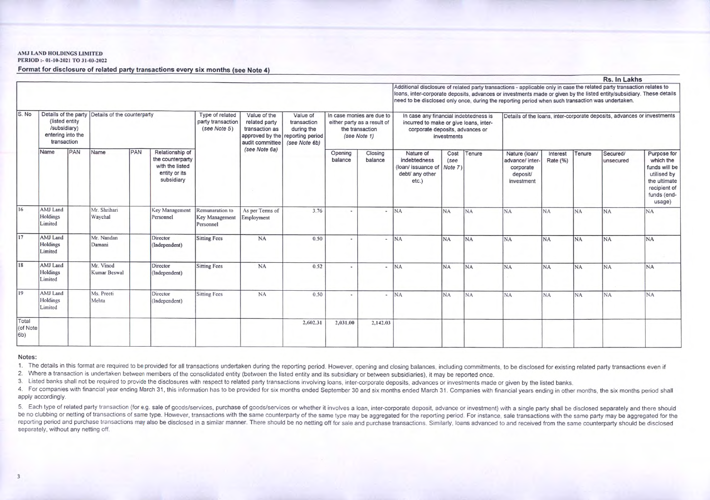#### AMJ LAND HOLDINGS LIMITED

PERIOD :- 01-10-2021 TO 31-03-2022

Format for disclosure of related party transactions every six months (see Note 4)

|                           |                                                                     |     |                                                  |     |                                                                                       |                                                      |                                                                    |                                                                                            |                                                                                             |                          |                                                                                                                                                                                                                                                                                                                                                      |                         |                |                                                                         |                      |           | RS. IN LAKIS           |                                                                                                                   |  |
|---------------------------|---------------------------------------------------------------------|-----|--------------------------------------------------|-----|---------------------------------------------------------------------------------------|------------------------------------------------------|--------------------------------------------------------------------|--------------------------------------------------------------------------------------------|---------------------------------------------------------------------------------------------|--------------------------|------------------------------------------------------------------------------------------------------------------------------------------------------------------------------------------------------------------------------------------------------------------------------------------------------------------------------------------------------|-------------------------|----------------|-------------------------------------------------------------------------|----------------------|-----------|------------------------|-------------------------------------------------------------------------------------------------------------------|--|
|                           |                                                                     |     |                                                  |     |                                                                                       |                                                      |                                                                    |                                                                                            |                                                                                             |                          | Additional disclosure of related party transactions - applicable only in case the related party transaction relates to<br>loans, inter-corporate deposits, advances or investments made or given by the listed entity/subsidiary. These details<br>need to be disclosed only once, during the reporting period when such transaction was undertaken. |                         |                |                                                                         |                      |           |                        |                                                                                                                   |  |
| S. No                     | (listed entity)<br>/subsidiary)<br>entering into the<br>transaction |     | Details of the party Details of the counterparty |     |                                                                                       | Type of related<br>party transaction<br>(see Note 5) | Value of the<br>related party<br>transaction as<br>audit committee | Value of<br>transaction<br>during the<br>approved by the reporting period<br>(see Note 6b) | In case monies are due to<br>either party as a result of<br>the transaction<br>(see Note 1) |                          | In case any financial indebtedness is<br>incurred to make or give loans, inter-<br>corporate deposits, advances or<br>investments                                                                                                                                                                                                                    |                         |                | Details of the loans, inter-corporate deposits, advances or investments |                      |           |                        |                                                                                                                   |  |
|                           | Name                                                                | PAN | Name                                             | PAN | Relationship of<br>the counterparty<br>with the listed<br>entity or its<br>subsidiary |                                                      | (see Note 6a)                                                      |                                                                                            | Opening<br>balance                                                                          | Closing<br>balance       | Nature of<br>indebtedness<br>(loan/ issuance of<br>debt/ any other<br>etc.)                                                                                                                                                                                                                                                                          | Cost<br>(see<br>Note 7) | Tenure         | Nature (loan/<br>advance/ inter-<br>corporate<br>deposit/<br>investment | Interest<br>Rate (%) | Tenure    | Secured/<br>lunsecured | Purpose for<br>which the<br>funds will be<br>utilised by<br>the ultimate<br>recipient of<br>funds (end-<br>usage) |  |
| 16                        | AMJ Land<br>Holdings<br>Limited                                     |     | Mr. Shrihari<br>Waychal                          |     | Key Management<br>Personnel                                                           | Remunaration to<br>Key Management<br>Personnel       | As per Terms of<br>Employment                                      | 3.76                                                                                       |                                                                                             |                          | <b>NA</b>                                                                                                                                                                                                                                                                                                                                            | <b>NA</b>               | <b>NA</b>      | <b>NA</b>                                                               | <b>NA</b>            | <b>NA</b> | NA                     | NA                                                                                                                |  |
| $\overline{17}$           | AMJ Land<br>Holdings<br>Limited                                     |     | Mr. Nandan<br>Damani                             |     | Director<br>(Independent)                                                             | <b>Sitting Fees</b>                                  | <b>NA</b>                                                          | 0.50                                                                                       |                                                                                             |                          | <b>NA</b>                                                                                                                                                                                                                                                                                                                                            | <b>NA</b>               | <b>NA</b>      | <b>NA</b>                                                               | <b>NA</b>            | <b>NA</b> | <b>NA</b>              | <b>NA</b>                                                                                                         |  |
| 18                        | AMJ Land<br>Holdings<br>Limited                                     |     | Mr. Vinod<br>Kumar Beswal                        |     | Director<br>(Independent)                                                             | <b>Sitting Fees</b>                                  | <b>NA</b>                                                          | 0.52                                                                                       |                                                                                             | $\overline{\phantom{a}}$ | <b>NA</b>                                                                                                                                                                                                                                                                                                                                            | <b>NA</b>               | N <sub>A</sub> | <b>NA</b>                                                               | <b>NA</b>            | <b>NA</b> | N <sub>A</sub>         | <b>NA</b>                                                                                                         |  |
| $ 19\rangle$              | AMJ Land<br>Holdings<br>Limited                                     |     | Ms. Preeti<br>Mehta                              |     | Director<br>(Independent)                                                             | <b>Sitting Fees</b>                                  | <b>NA</b>                                                          | 0.50                                                                                       |                                                                                             | $\overline{\phantom{a}}$ | <b>NA</b>                                                                                                                                                                                                                                                                                                                                            | NA                      | NA             | <b>NA</b>                                                               | <b>NA</b>            | <b>NA</b> | N <sub>A</sub>         | <b>NA</b>                                                                                                         |  |
| Total<br>(of Note<br>(6b) |                                                                     |     |                                                  |     |                                                                                       |                                                      |                                                                    | 2,602.31                                                                                   | 2,031.00                                                                                    | 2,142.03                 |                                                                                                                                                                                                                                                                                                                                                      |                         |                |                                                                         |                      |           |                        |                                                                                                                   |  |

 $1.11 - 1.1$ 

#### Notes:

1. The details in this format are required to be provided for all transactions undertaken during the reporting period. However, opening and closing balances, including commitments, to be disclosed for existing related part

2. Where a transaction is undertaken between members of the consolidated entity (between the listed entity and its subsidiary or between subsidiaries), it may be reported once.

3. Listed banks shall not be required to provide the disclosures with respect to related party transactions involving loans, inter-corporate deposits, advances or investments made or given by the listed banks.

4. For companies with financial year ending March 31, this information has to be provided for six months ended September 30 and six months ended March 31. Companies with financial years ending in other months, the six mont apply accordingly.

5. Each type of related party transaction (for e.g. sale of goods/services, purchase of goods/services or whether it involves a loan, inter-corporate deposit, advance or investment) with a single party shall be disclosed s be no clubbing or netting of transactions of same type. However, transactions with the same counterparty of the same type may be aggregated for the reporting period. For instance, sale transactions with the same party may reporting period and purchase transactions may also be disclosed in a similar manner. There should be no netting off for sale and purchase transactions. Similarly, loans advanced to and received from the same counterparty separately, without any netting off.